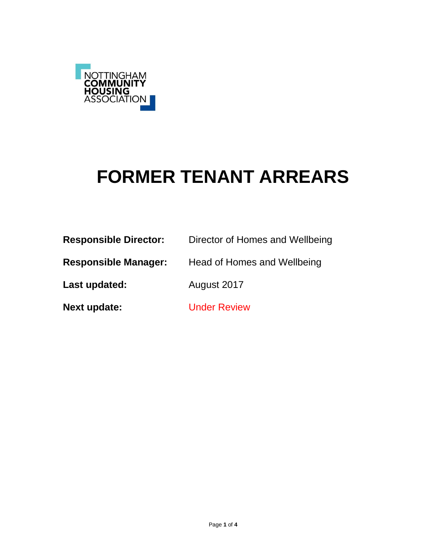

# **FORMER TENANT ARREARS**

| <b>Responsible Director:</b> | Director of Homes and Wellbeing |
|------------------------------|---------------------------------|
| <b>Responsible Manager:</b>  | Head of Homes and Wellbeing     |
| Last updated:                | August 2017                     |
| <b>Next update:</b>          | <b>Under Review</b>             |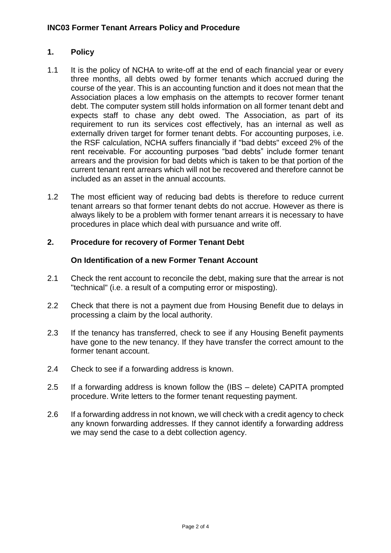## **1. Policy**

- 1.1 It is the policy of NCHA to write-off at the end of each financial year or every three months, all debts owed by former tenants which accrued during the course of the year. This is an accounting function and it does not mean that the Association places a low emphasis on the attempts to recover former tenant debt. The computer system still holds information on all former tenant debt and expects staff to chase any debt owed. The Association, as part of its requirement to run its services cost effectively, has an internal as well as externally driven target for former tenant debts. For accounting purposes, i.e. the RSF calculation, NCHA suffers financially if "bad debts" exceed 2% of the rent receivable. For accounting purposes "bad debts" include former tenant arrears and the provision for bad debts which is taken to be that portion of the current tenant rent arrears which will not be recovered and therefore cannot be included as an asset in the annual accounts.
- 1.2 The most efficient way of reducing bad debts is therefore to reduce current tenant arrears so that former tenant debts do not accrue. However as there is always likely to be a problem with former tenant arrears it is necessary to have procedures in place which deal with pursuance and write off.

## **2. Procedure for recovery of Former Tenant Debt**

## **On Identification of a new Former Tenant Account**

- 2.1 Check the rent account to reconcile the debt, making sure that the arrear is not "technical" (i.e. a result of a computing error or misposting).
- 2.2 Check that there is not a payment due from Housing Benefit due to delays in processing a claim by the local authority.
- 2.3 If the tenancy has transferred, check to see if any Housing Benefit payments have gone to the new tenancy. If they have transfer the correct amount to the former tenant account.
- 2.4 Check to see if a forwarding address is known.
- 2.5 If a forwarding address is known follow the (IBS delete) CAPITA prompted procedure. Write letters to the former tenant requesting payment.
- 2.6 If a forwarding address in not known, we will check with a credit agency to check any known forwarding addresses. If they cannot identify a forwarding address we may send the case to a debt collection agency.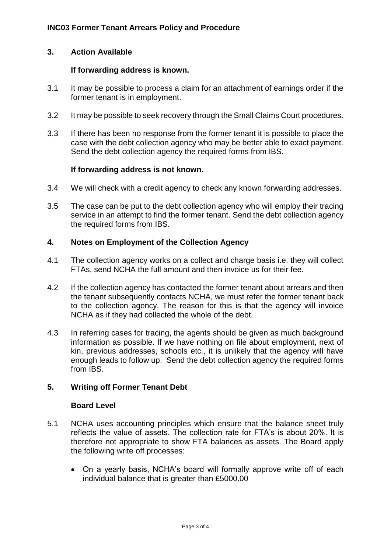### **3. Action Available**

#### **If forwarding address is known.**

- 3.1 It may be possible to process a claim for an attachment of earnings order if the former tenant is in employment.
- 3.2 It may be possible to seek recovery through the Small Claims Court procedures.
- 3.3 If there has been no response from the former tenant it is possible to place the case with the debt collection agency who may be better able to exact payment. Send the debt collection agency the required forms from IBS.

#### **If forwarding address is not known.**

- 3.4 We will check with a credit agency to check any known forwarding addresses.
- 3.5 The case can be put to the debt collection agency who will employ their tracing service in an attempt to find the former tenant. Send the debt collection agency the required forms from IBS.

### **4. Notes on Employment of the Collection Agency**

- 4.1 The collection agency works on a collect and charge basis i.e. they will collect FTAs, send NCHA the full amount and then invoice us for their fee.
- 4.2 If the collection agency has contacted the former tenant about arrears and then the tenant subsequently contacts NCHA, we must refer the former tenant back to the collection agency. The reason for this is that the agency will invoice NCHA as if they had collected the whole of the debt.
- 4.3 In referring cases for tracing, the agents should be given as much background information as possible. If we have nothing on file about employment, next of kin, previous addresses, schools etc., it is unlikely that the agency will have enough leads to follow up. Send the debt collection agency the required forms from IBS.

## **5. Writing off Former Tenant Debt**

#### **Board Level**

- 5.1 NCHA uses accounting principles which ensure that the balance sheet truly reflects the value of assets. The collection rate for FTA's is about 20%. It is therefore not appropriate to show FTA balances as assets. The Board apply the following write off processes:
	- On a yearly basis, NCHA's board will formally approve write off of each individual balance that is greater than £5000.00